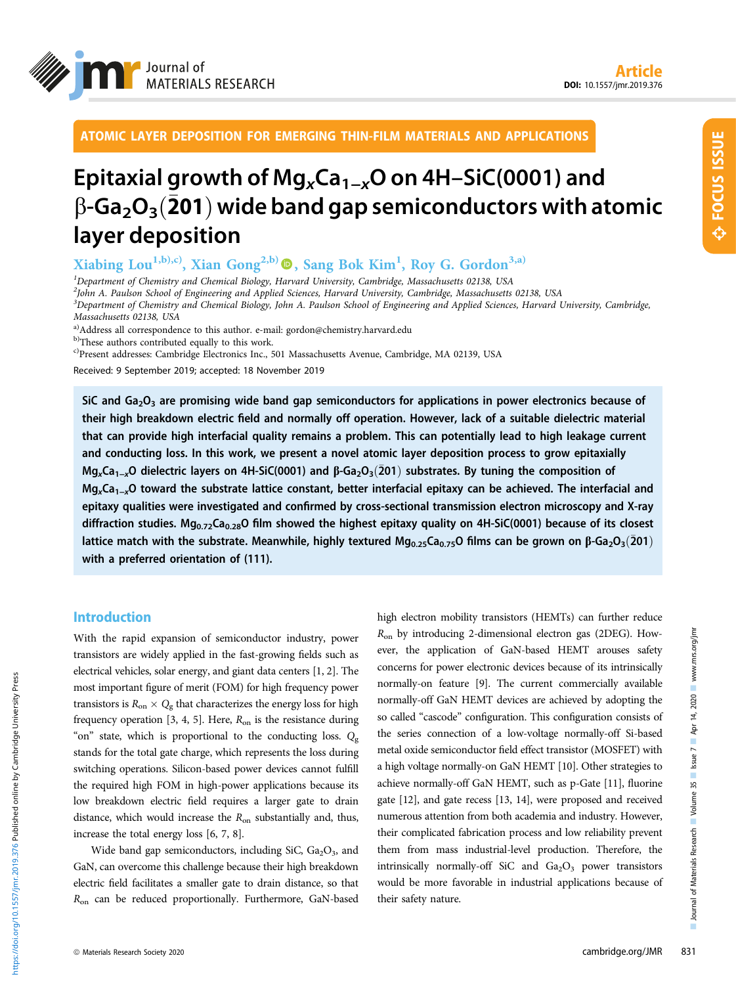

ATOMIC LAYER DEPOSITION FOR EMERGING THIN-FILM MATERIALS AND APPLICATIONS

# Epitaxial growth of Mg<sub>x</sub>Ca<sub>1−x</sub>O on 4H–SiC(0001) and  $\beta$ -Ga<sub>2</sub>O<sub>3</sub> $(\overline{2}01)$  wide band gap semiconductors with atomic layer deposition

Xiabing Lou<sup>1,b),c)</sup>, Xian Gong<sup>2,b)</sup>  $\textcircled{\textbf{P}}$ , Sang Bok Kim<sup>1</sup>, Roy G. Gordon<sup>3,a)</sup>

<sup>1</sup>Department of Chemistry and Chemical Biology, Harvard University, Cambridge, Massachusetts 02138, USA 2 John A. Paulson School of Engineering and Applied Sciences, Harvard University, Cambridge, Massachusetts 02138, USA 3 Department of Chemistry and Chemical Biology, John A. Paulson School of Engineering and Applied Sciences, Harvard University, Cambridge,

Massachusetts 02138, USA

a)Address all correspondence to this author. e-mail: [gordon@chemistry.harvard.edu](mailto:gordon@chemistry.harvard.edu)

b)These authors contributed equally to this work.

c)Present addresses: Cambridge Electronics Inc., 501 Massachusetts Avenue, Cambridge, MA 02139, USA

Received: 9 September 2019; accepted: 18 November 2019

SiC and  $Ga_2O_3$  are promising wide band gap semiconductors for applications in power electronics because of their high breakdown electric field and normally off operation. However, lack of a suitable dielectric material that can provide high interfacial quality remains a problem. This can potentially lead to high leakage current and conducting loss. In this work, we present a novel atomic layer deposition process to grow epitaxially<br>Mg<sub>x</sub>Ca<sub>1−x</sub>O dielectric layers on 4H-SiC(0001) and β-Ga<sub>2</sub>O<sub>3</sub>(201) substrates. By tuning the composition of Mg<sub>x</sub>Ca<sub>1−x</sub>O dielectric layers on 4H-SiC(0001) and β-Ga<sub>2</sub>O<sub>3</sub>(201) substrates. By tuning the composition of<br>Mg<sub>x</sub>Ca<sub>1−x</sub>O toward the substrate lattice constant, better interfacial epitaxy can be achieved. The interfaci epitaxy qualities were investigated and confirmed by cross-sectional transmission electron microscopy and X-ray diffraction studies. Mg<sub>0.72</sub>Ca<sub>0.28</sub>O film showed the highest epitaxy quality on 4H-SiC(0001) because of its closest lattice match with the substrate. Meanwhile, highly textured Mg<sub>0.25</sub>Ca<sub>0.75</sub>O films can be grown on  $\beta$ -Ga<sub>2</sub>O<sub>3</sub>(201) with a preferred orientation of (111).

# Introduction

With the rapid expansion of semiconductor industry, power transistors are widely applied in the fast-growing fields such as electrical vehicles, solar energy, and giant data centers [1, 2]. The most important figure of merit (FOM) for high frequency power transistors is  $R_{\rm on} \times Q_{\rm g}$  that characterizes the energy loss for high frequency operation  $[3, 4, 5]$ . Here,  $R_{on}$  is the resistance during "on" state, which is proportional to the conducting loss.  $Q_{\rm g}$ stands for the total gate charge, which represents the loss during switching operations. Silicon-based power devices cannot fulfill the required high FOM in high-power applications because its low breakdown electric field requires a larger gate to drain distance, which would increase the  $R_{on}$  substantially and, thus, increase the total energy loss [6, 7, 8].

Wide band gap semiconductors, including SiC,  $Ga<sub>2</sub>O<sub>3</sub>$ , and GaN, can overcome this challenge because their high breakdown electric field facilitates a smaller gate to drain distance, so that  $R_{\text{on}}$  can be reduced proportionally. Furthermore, GaN-based high electron mobility transistors (HEMTs) can further reduce  $R_{\text{on}}$  by introducing 2-dimensional electron gas (2DEG). However, the application of GaN-based HEMT arouses safety concerns for power electronic devices because of its intrinsically normally-on feature [9]. The current commercially available normally-off GaN HEMT devices are achieved by adopting the so called "cascode" configuration. This configuration consists of the series connection of a low-voltage normally-off Si-based metal oxide semiconductor field effect transistor (MOSFET) with a high voltage normally-on GaN HEMT [10]. Other strategies to achieve normally-off GaN HEMT, such as p-Gate [11], fluorine gate [12], and gate recess [13, 14], were proposed and received numerous attention from both academia and industry. However, their complicated fabrication process and low reliability prevent them from mass industrial-level production. Therefore, the intrinsically normally-off SiC and  $Ga_2O_3$  power transistors would be more favorable in industrial applications because of their safety nature.

https://doi.org/10.1557/jmr.2019.376 Published online by Cambridge University Press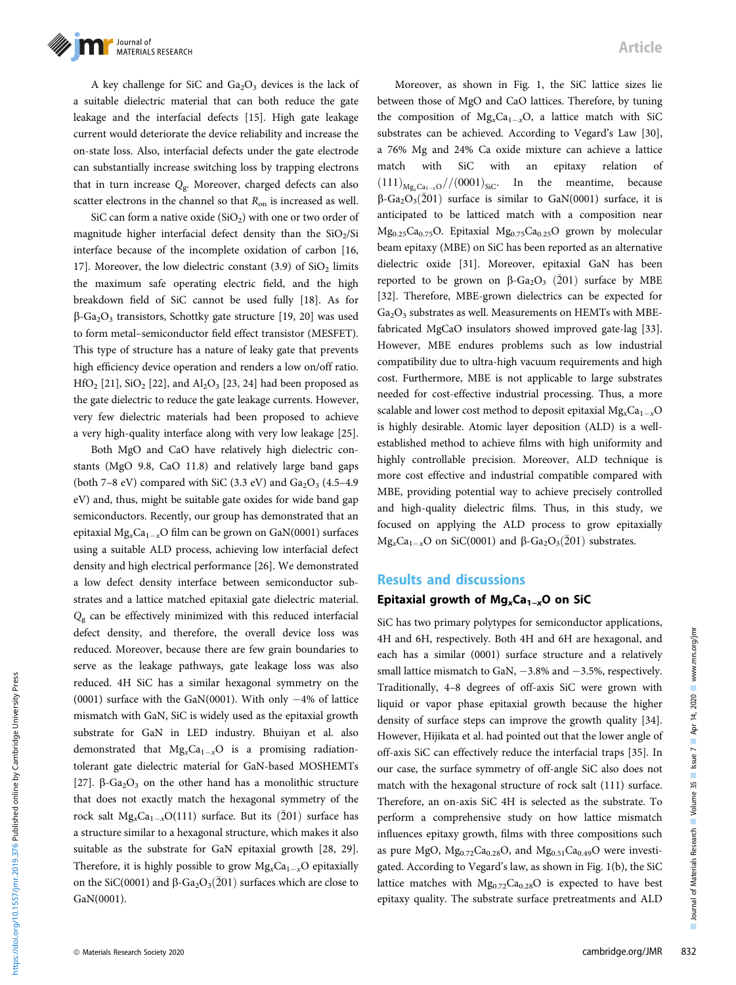

A key challenge for SiC and  $Ga<sub>2</sub>O<sub>3</sub>$  devices is the lack of a suitable dielectric material that can both reduce the gate leakage and the interfacial defects [15]. High gate leakage current would deteriorate the device reliability and increase the on-state loss. Also, interfacial defects under the gate electrode can substantially increase switching loss by trapping electrons that in turn increase  $Q_{\rm g}$ . Moreover, charged defects can also scatter electrons in the channel so that  $R_{on}$  is increased as well.

SiC can form a native oxide  $(SiO<sub>2</sub>)$  with one or two order of magnitude higher interfacial defect density than the  $SiO<sub>2</sub>/Si$ interface because of the incomplete oxidation of carbon [16, 17]. Moreover, the low dielectric constant  $(3.9)$  of  $SiO<sub>2</sub>$  limits the maximum safe operating electric field, and the high breakdown field of SiC cannot be used fully [18]. As for  $\beta$ -Ga<sub>2</sub>O<sub>3</sub> transistors, Schottky gate structure [19, 20] was used to form metal–semiconductor field effect transistor (MESFET). This type of structure has a nature of leaky gate that prevents high efficiency device operation and renders a low on/off ratio.  $HfO<sub>2</sub>$  [21], SiO<sub>2</sub> [22], and Al<sub>2</sub>O<sub>3</sub> [23, 24] had been proposed as the gate dielectric to reduce the gate leakage currents. However, very few dielectric materials had been proposed to achieve a very high-quality interface along with very low leakage [25].

Both MgO and CaO have relatively high dielectric constants (MgO 9.8, CaO 11.8) and relatively large band gaps (both 7–8 eV) compared with SiC (3.3 eV) and  $Ga<sub>2</sub>O<sub>3</sub>$  (4.5–4.9) eV) and, thus, might be suitable gate oxides for wide band gap semiconductors. Recently, our group has demonstrated that an epitaxial  $Mg_xCa_{1-x}O$  film can be grown on GaN(0001) surfaces using a suitable ALD process, achieving low interfacial defect density and high electrical performance [26]. We demonstrated a low defect density interface between semiconductor substrates and a lattice matched epitaxial gate dielectric material.  $Q_{\rm g}$  can be effectively minimized with this reduced interfacial defect density, and therefore, the overall device loss was reduced. Moreover, because there are few grain boundaries to serve as the leakage pathways, gate leakage loss was also reduced. 4H SiC has a similar hexagonal symmetry on the (0001) surface with the GaN(0001). With only  $-4\%$  of lattice mismatch with GaN, SiC is widely used as the epitaxial growth substrate for GaN in LED industry. Bhuiyan et al. also demonstrated that  $Mg_xCa_{1-x}O$  is a promising radiationtolerant gate dielectric material for GaN-based MOSHEMTs [27].  $\beta$ -Ga<sub>2</sub>O<sub>3</sub> on the other hand has a monolithic structure that does not exactly match the hexagonal symmetry of the rock salt  $Mg_xCa_{1-x}O(111)$  surface. But its  $(\bar{2}01)$  surface has a structure similar to a hexagonal structure, which makes it also suitable as the substrate for GaN epitaxial growth [28, 29]. Therefore, it is highly possible to grow  $Mg_xCa_{1-x}O$  epitaxially on the SiC(0001) and  $\beta$ -Ga<sub>2</sub>O<sub>3</sub>(201) surfaces which are close to GaN(0001).

Moreover, as shown in Fig. 1, the SiC lattice sizes lie between those of MgO and CaO lattices. Therefore, by tuning the composition of  $Mg_xCa_{1-x}O$ , a lattice match with SiC substrates can be achieved. According to Vegard's Law [30], a 76% Mg and 24% Ca oxide mixture can achieve a lattice match with SiC with an epitaxy relation of  $(111)_{\text{Mg, Ca}_{1-x}O}$ // $(0001)_{\text{SiC}}$ . In the meantime, because  $\beta$ -Ga<sub>2</sub>O<sub>3</sub>(201) surface is similar to GaN(0001) surface, it is anticipated to be latticed match with a composition near Mg<sub>0.25</sub>Ca<sub>0.75</sub>O. Epitaxial Mg<sub>0.75</sub>Ca<sub>0.25</sub>O grown by molecular beam epitaxy (MBE) on SiC has been reported as an alternative dielectric oxide [31]. Moreover, epitaxial GaN has been reported to be grown on  $\beta$ -Ga<sub>2</sub>O<sub>3</sub> (201) surface by MBE [32]. Therefore, MBE-grown dielectrics can be expected for  $Ga<sub>2</sub>O<sub>3</sub>$  substrates as well. Measurements on HEMTs with MBEfabricated MgCaO insulators showed improved gate-lag [33]. However, MBE endures problems such as low industrial compatibility due to ultra-high vacuum requirements and high cost. Furthermore, MBE is not applicable to large substrates needed for cost-effective industrial processing. Thus, a more scalable and lower cost method to deposit epitaxial  $Mg_{x}Ca_{1-x}O$ is highly desirable. Atomic layer deposition (ALD) is a wellestablished method to achieve films with high uniformity and highly controllable precision. Moreover, ALD technique is more cost effective and industrial compatible compared with MBE, providing potential way to achieve precisely controlled and high-quality dielectric films. Thus, in this study, we focused on applying the ALD process to grow epitaxially  $Mg_xCa_{1-x}O$  on SiC(0001) and  $\beta$ -Ga<sub>2</sub>O<sub>3</sub>(201) substrates.

### Results and discussions

### Epitaxial growth of Mg<sub>x</sub>Ca<sub>1−x</sub>O on SiC

SiC has two primary polytypes for semiconductor applications, 4H and 6H, respectively. Both 4H and 6H are hexagonal, and each has a similar (0001) surface structure and a relatively small lattice mismatch to GaN,  $-3.8\%$  and  $-3.5\%$ , respectively. Traditionally, 4–8 degrees of off-axis SiC were grown with liquid or vapor phase epitaxial growth because the higher density of surface steps can improve the growth quality [34]. However, Hijikata et al. had pointed out that the lower angle of off-axis SiC can effectively reduce the interfacial traps [35]. In our case, the surface symmetry of off-angle SiC also does not match with the hexagonal structure of rock salt (111) surface. Therefore, an on-axis SiC 4H is selected as the substrate. To perform a comprehensive study on how lattice mismatch influences epitaxy growth, films with three compositions such as pure MgO,  $Mg_{0.72}Ca_{0.28}O$ , and  $Mg_{0.51}Ca_{0.49}O$  were investigated. According to Vegard's law, as shown in Fig. 1(b), the SiC lattice matches with  $Mg_{0.72}Ca_{0.28}O$  is expected to have best epitaxy quality. The substrate surface pretreatments and ALD

https://doi.org/10.1557/jmr.2019.376 Published online by Cambridge University Press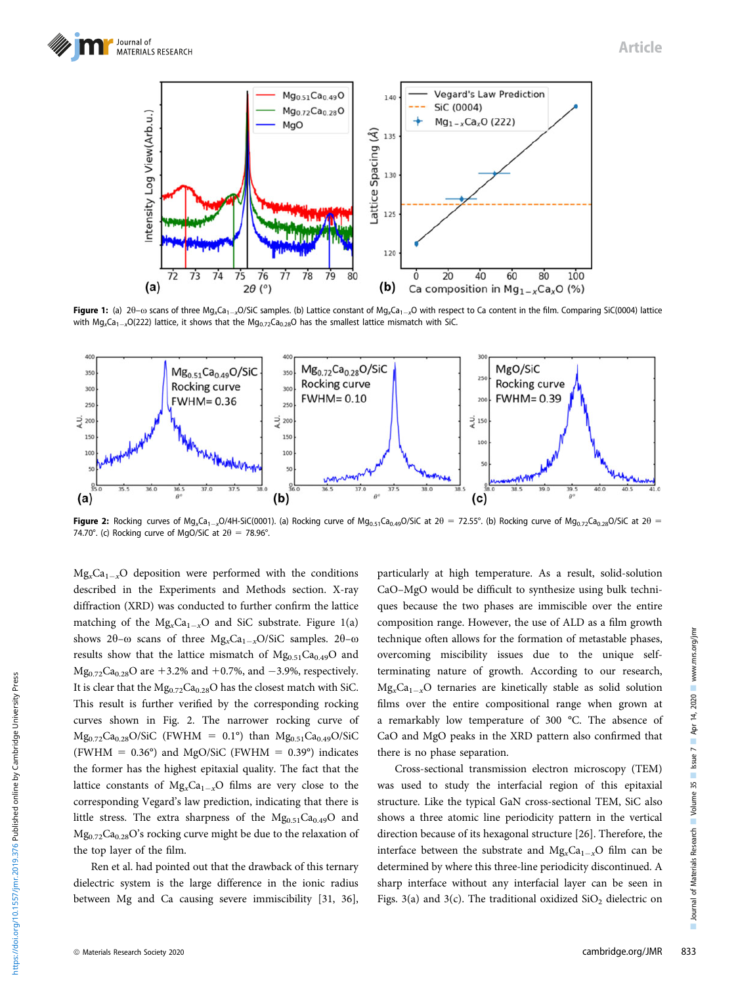

Figure 1: (a)  $2\theta - \omega$  scans of three Mg<sub>x</sub>Ca<sub>1-x</sub>O/SiC samples. (b) Lattice constant of Mg<sub>x</sub>Ca<sub>1-x</sub>O with respect to Ca content in the film. Comparing SiC(0004) lattice with  $Mg_xCa_{1-x}O(222)$  lattice, it shows that the  $Mg_{0.72}Ca_{0.28}O$  has the smallest lattice mismatch with SiC.



Figure 2: Rocking curves of Mg<sub>x</sub>Ca<sub>1-x</sub>O/4H-SiC(0001). (a) Rocking curve of Mg<sub>0.51</sub>Ca<sub>0.49</sub>O/SiC at 20 = 72.55°. (b) Rocking curve of Mg<sub>0.72</sub>Ca<sub>0.28</sub>O/SiC at 20 = 74.70°. (c) Rocking curve of MgO/SiC at  $2\theta = 78.96$ °.

 $Mg_xCa_{1-x}O$  deposition were performed with the conditions described in the Experiments and Methods section. X-ray diffraction (XRD) was conducted to further confirm the lattice matching of the  $Mg_xCa_{1-x}O$  and SiC substrate. Figure 1(a) shows 2 $\theta$ – $\omega$  scans of three Mg<sub>x</sub>Ca<sub>1-x</sub>O/SiC samples. 2 $\theta$ – $\omega$ results show that the lattice mismatch of  $Mg_{0.51}Ca_{0.49}O$  and  $Mg_{0.72}Ca_{0.28}O$  are +3.2% and +0.7%, and -3.9%, respectively. It is clear that the  $Mg_{0.72}Ca_{0.28}O$  has the closest match with SiC. This result is further verified by the corresponding rocking curves shown in Fig. 2. The narrower rocking curve of  $Mg_{0.72}Ca_{0.28}O/SiC$  (FWHM = 0.1°) than  $Mg_{0.51}Ca_{0.49}O/SiC$ (FWHM =  $0.36^{\circ}$ ) and MgO/SiC (FWHM =  $0.39^{\circ}$ ) indicates the former has the highest epitaxial quality. The fact that the lattice constants of  $Mg_{x}Ca_{1-x}O$  films are very close to the corresponding Vegard's law prediction, indicating that there is little stress. The extra sharpness of the  $Mg_{0.51}Ca_{0.49}O$  and  $Mg_{0.72}Ca_{0.28}O$ 's rocking curve might be due to the relaxation of the top layer of the film.

Ren et al. had pointed out that the drawback of this ternary dielectric system is the large difference in the ionic radius between Mg and Ca causing severe immiscibility [31, 36], particularly at high temperature. As a result, solid-solution CaO–MgO would be difficult to synthesize using bulk techniques because the two phases are immiscible over the entire composition range. However, the use of ALD as a film growth technique often allows for the formation of metastable phases, overcoming miscibility issues due to the unique selfterminating nature of growth. According to our research,  $Mg_xCa_{1-x}O$  ternaries are kinetically stable as solid solution films over the entire compositional range when grown at a remarkably low temperature of 300 °C. The absence of CaO and MgO peaks in the XRD pattern also confirmed that there is no phase separation.

Cross-sectional transmission electron microscopy (TEM) was used to study the interfacial region of this epitaxial structure. Like the typical GaN cross-sectional TEM, SiC also shows a three atomic line periodicity pattern in the vertical direction because of its hexagonal structure [26]. Therefore, the interface between the substrate and  $Mg_{x}Ca_{1-x}O$  film can be determined by where this three-line periodicity discontinued. A sharp interface without any interfacial layer can be seen in Figs.  $3(a)$  and  $3(c)$ . The traditional oxidized  $SiO<sub>2</sub>$  dielectric on

https://doi.org/10.1557/jmr.2019.376 Published online by Cambridge University Press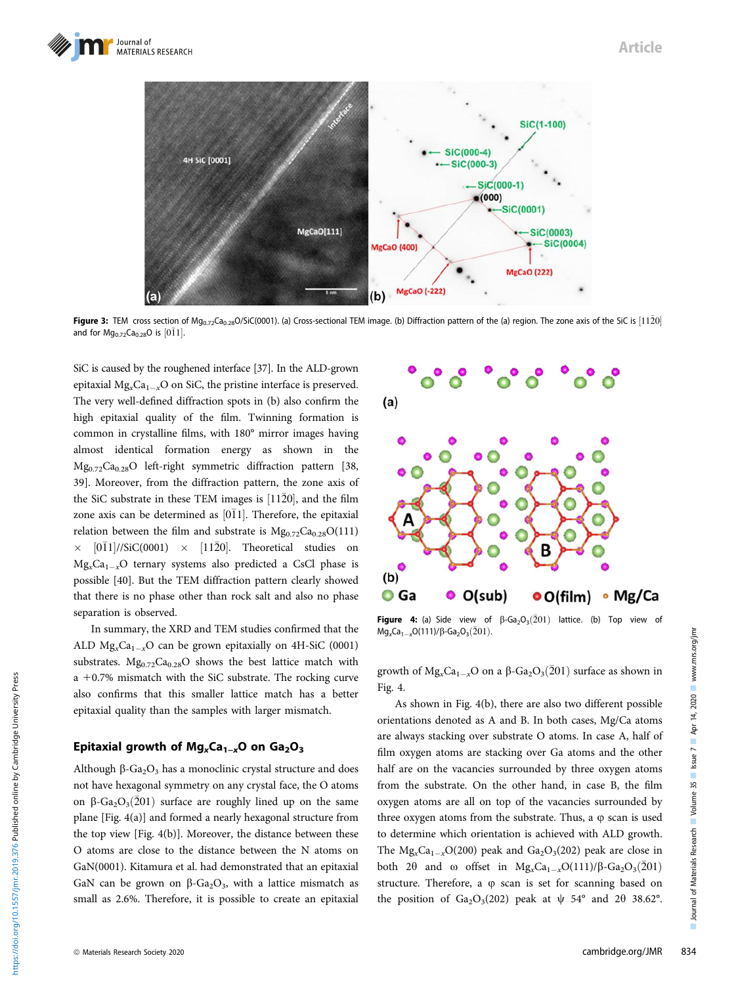# Article



Figure 3: TEM cross section of Mg<sub>0.72</sub>Ca<sub>0.28</sub>O/SiC(0001). (a) Cross-sectional TEM image. (b) Diffraction pattern of the (a) region. The zone axis of the SiC is  $[11\bar{2}0]$ and for  $Mg_{0.72}Ca_{0.28}O$  is  $[0\bar{1}1]$ .

SiC is caused by the roughened interface [37]. In the ALD-grown epitaxial  $Mg_xCa_{1-x}O$  on SiC, the pristine interface is preserved. The very well-defined diffraction spots in (b) also confirm the high epitaxial quality of the film. Twinning formation is common in crystalline films, with 180° mirror images having almost identical formation energy as shown in the  $Mg_{0.72}Ca_{0.28}O$  left-right symmetric diffraction pattern [38, 39]. Moreover, from the diffraction pattern, the zone axis of the SiC substrate in these TEM images is  $[11\overline{2}0]$ , and the film zone axis can be determined as  $[0\bar{1}1]$ . Therefore, the epitaxial relation between the film and substrate is  $Mg_{0.72}Ca_{0.28}O(111)$  $\times$  [011]//SiC(0001)  $\times$  [1120]. Theoretical studies on  $Mg<sub>x</sub>Ca<sub>1-x</sub>O$  ternary systems also predicted a CsCl phase is possible [40]. But the TEM diffraction pattern clearly showed that there is no phase other than rock salt and also no phase separation is observed.

In summary, the XRD and TEM studies confirmed that the ALD  $Mg_xCa_{1-x}O$  can be grown epitaxially on 4H-SiC (0001) substrates.  $Mg_{0.72}Ca_{0.28}O$  shows the best lattice match with  $a + 0.7%$  mismatch with the SiC substrate. The rocking curve also confirms that this smaller lattice match has a better epitaxial quality than the samples with larger mismatch.

### Epitaxial growth of Mg<sub>x</sub>Ca<sub>1−x</sub>O on Ga<sub>2</sub>O<sub>3</sub>

Although  $\beta$ -Ga<sub>2</sub>O<sub>3</sub> has a monoclinic crystal structure and does not have hexagonal symmetry on any crystal face, the O atoms on  $\beta$ -Ga<sub>2</sub>O<sub>3</sub>(201) surface are roughly lined up on the same plane [Fig. 4(a)] and formed a nearly hexagonal structure from the top view [Fig. 4(b)]. Moreover, the distance between these O atoms are close to the distance between the N atoms on GaN(0001). Kitamura et al. had demonstrated that an epitaxial GaN can be grown on  $\beta$ -Ga<sub>2</sub>O<sub>3</sub>, with a lattice mismatch as small as 2.6%. Therefore, it is possible to create an epitaxial



Figure 4: (a) Side view of  $\beta$ -Ga<sub>2</sub>O<sub>3</sub>(201) lattice. (b) Top view of  $Mg_xCa_{1-x}O(111)/\beta$ -Ga<sub>2</sub>O<sub>3</sub>(201).

growth of  $Mg_xCa_{1-x}O$  on a  $\beta$ -Ga<sub>2</sub>O<sub>3</sub>(201) surface as shown in Fig. 4.

As shown in Fig. 4(b), there are also two different possible orientations denoted as A and B. In both cases, Mg/Ca atoms are always stacking over substrate O atoms. In case A, half of film oxygen atoms are stacking over Ga atoms and the other half are on the vacancies surrounded by three oxygen atoms from the substrate. On the other hand, in case B, the film oxygen atoms are all on top of the vacancies surrounded by three oxygen atoms from the substrate. Thus, a  $\varphi$  scan is used to determine which orientation is achieved with ALD growth. The  $Mg_xCa_{1-x}O(200)$  peak and  $Ga_2O_3(202)$  peak are close in both 2 $\theta$  and  $\omega$  offset in Mg<sub>x</sub>Ca<sub>1-x</sub>O(111)/ $\beta$ -Ga<sub>2</sub>O<sub>3</sub>(201) structure. Therefore, a  $\varphi$  scan is set for scanning based on the position of Ga<sub>2</sub>O<sub>3</sub>(202) peak at  $\psi$  54° and 2 $\theta$  38.62°.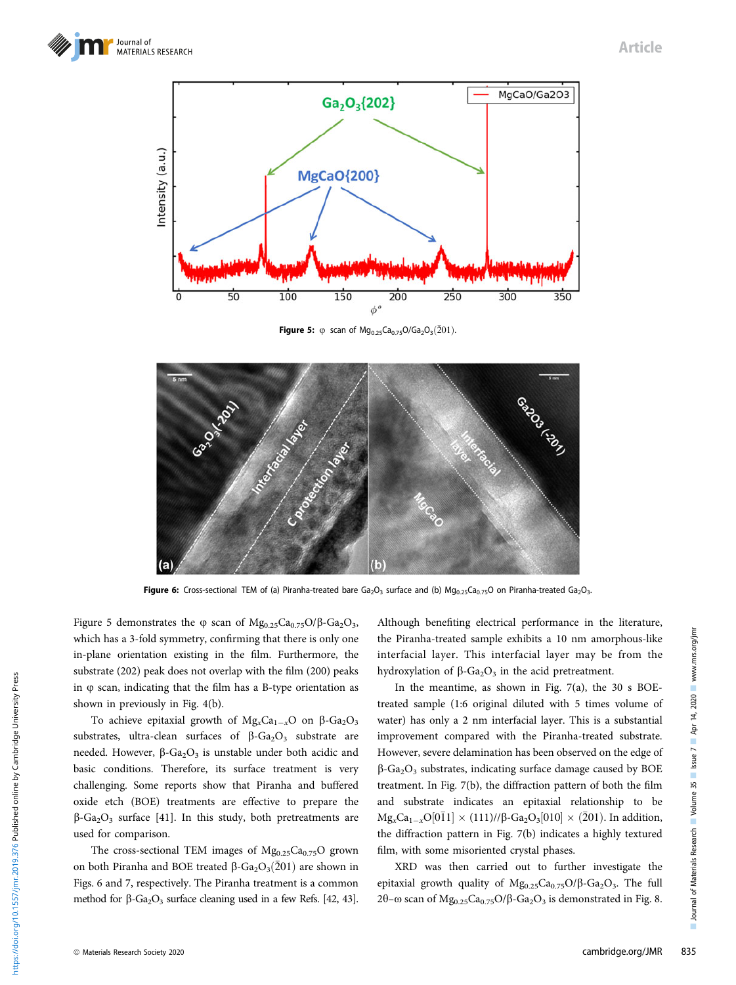



**Figure 5:**  $\varphi$  scan of Mg<sub>0.25</sub>Ca<sub>0.75</sub>O/Ga<sub>2</sub>O<sub>3</sub>(201).



Figure 6: Cross-sectional TEM of (a) Piranha-treated bare  $Ga_2O_3$  surface and (b)  $Mg_{0.25}Ca_{0.75}O$  on Piranha-treated  $Ga_2O_3$ .

Figure 5 demonstrates the  $\varphi$  scan of  $Mg_{0.25}Ca_{0.75}O/\beta$ -Ga<sub>2</sub>O<sub>3</sub>, which has a 3-fold symmetry, confirming that there is only one in-plane orientation existing in the film. Furthermore, the substrate (202) peak does not overlap with the film (200) peaks in  $\varphi$  scan, indicating that the film has a B-type orientation as shown in previously in Fig. 4(b).

To achieve epitaxial growth of  $Mg_xCa_{1-x}O$  on  $\beta$ -Ga<sub>2</sub>O<sub>3</sub> substrates, ultra-clean surfaces of  $\beta$ -Ga<sub>2</sub>O<sub>3</sub> substrate are needed. However,  $\beta$ -Ga<sub>2</sub>O<sub>3</sub> is unstable under both acidic and basic conditions. Therefore, its surface treatment is very challenging. Some reports show that Piranha and buffered oxide etch (BOE) treatments are effective to prepare the  $\beta$ -Ga<sub>2</sub>O<sub>3</sub> surface [41]. In this study, both pretreatments are used for comparison.

The cross-sectional TEM images of  $Mg_{0.25}Ca_{0.75}O$  grown on both Piranha and BOE treated  $\beta$ -Ga<sub>2</sub>O<sub>3</sub>(201) are shown in Figs. 6 and 7, respectively. The Piranha treatment is a common method for  $\beta$ -Ga<sub>2</sub>O<sub>3</sub> surface cleaning used in a few Refs. [42, 43].

Although benefiting electrical performance in the literature, the Piranha-treated sample exhibits a 10 nm amorphous-like interfacial layer. This interfacial layer may be from the hydroxylation of  $\beta$ -Ga<sub>2</sub>O<sub>3</sub> in the acid pretreatment.

In the meantime, as shown in Fig. 7(a), the 30 s BOEtreated sample (1:6 original diluted with 5 times volume of water) has only a 2 nm interfacial layer. This is a substantial improvement compared with the Piranha-treated substrate. However, severe delamination has been observed on the edge of  $\beta$ -Ga<sub>2</sub>O<sub>3</sub> substrates, indicating surface damage caused by BOE treatment. In Fig. 7(b), the diffraction pattern of both the film and substrate indicates an epitaxial relationship to be  $Mg_xCa_{1-x}O[0\bar{1}1] \times (111)/\beta$ -Ga<sub>2</sub>O<sub>3</sub>[010] × (201). In addition, the diffraction pattern in Fig. 7(b) indicates a highly textured film, with some misoriented crystal phases.

XRD was then carried out to further investigate the epitaxial growth quality of  $Mg_{0.25}Ca_{0.75}O/\beta$ -Ga<sub>2</sub>O<sub>3</sub>. The full 2θ-ω scan of  $Mg_{0.25}Ca_{0.75}O/\beta$ -Ga<sub>2</sub>O<sub>3</sub> is demonstrated in Fig. 8.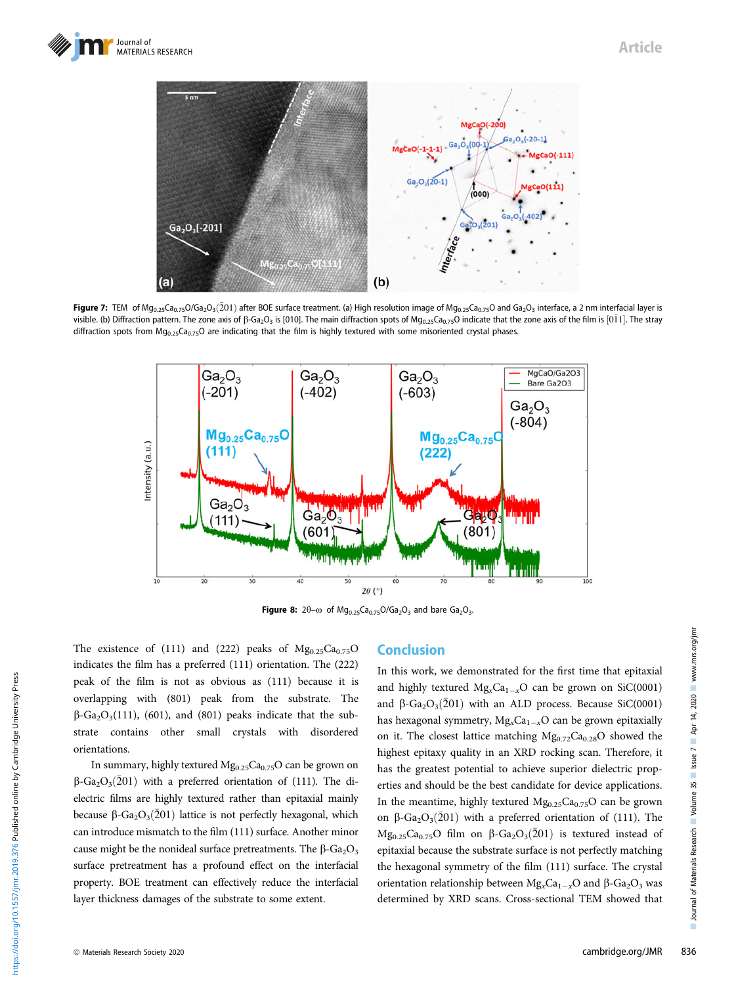

Figure 7: TEM of Mg<sub>0.25</sub>Ca<sub>0.75</sub>O/Ga<sub>2</sub>O<sub>3</sub>(201) after BOE surface treatment. (a) High resolution image of Mg<sub>0.25</sub>Ca<sub>0.75</sub>O and Ga<sub>2</sub>O<sub>3</sub> interface, a 2 nm interfacial layer is visible. (b) Diffraction pattern. The zone axis of  $\beta$ -Ga<sub>2</sub>O<sub>3</sub> is [010]. The main diffraction spots of Mg<sub>0.25</sub>Ca<sub>0.75</sub>O indicate that the zone axis of the film is [011]. The stray diffraction spots from  $Mg_{0.25}G_{0.75}O$  are indicating that the film is highly textured with some misoriented crystal phases.



Figure 8:  $2\theta$ - $\omega$  of Mg<sub>0.25</sub>Ca<sub>0.75</sub>O/Ga<sub>2</sub>O<sub>3</sub> and bare Ga<sub>2</sub>O<sub>3</sub>.

The existence of (111) and (222) peaks of  $Mg_{0.25}Ca_{0.75}O$ indicates the film has a preferred (111) orientation. The (222) peak of the film is not as obvious as (111) because it is overlapping with (801) peak from the substrate. The  $\beta$ -Ga<sub>2</sub>O<sub>3</sub>(111), (601), and (801) peaks indicate that the substrate contains other small crystals with disordered orientations.

In summary, highly textured  $Mg_{0.25}Ca_{0.75}O$  can be grown on  $\beta$ -Ga<sub>2</sub>O<sub>3</sub>(201) with a preferred orientation of (111). The dielectric films are highly textured rather than epitaxial mainly because  $\beta$ -Ga<sub>2</sub>O<sub>3</sub>(201) lattice is not perfectly hexagonal, which can introduce mismatch to the film (111) surface. Another minor cause might be the nonideal surface pretreatments. The  $\beta$ -Ga<sub>2</sub>O<sub>3</sub> surface pretreatment has a profound effect on the interfacial property. BOE treatment can effectively reduce the interfacial layer thickness damages of the substrate to some extent.

# Conclusion

In this work, we demonstrated for the first time that epitaxial and highly textured  $Mg_xCa_{1-x}O$  can be grown on SiC(0001) and  $\beta$ -Ga<sub>2</sub>O<sub>3</sub>(201) with an ALD process. Because SiC(0001) has hexagonal symmetry,  $Mg_xCa_{1-x}O$  can be grown epitaxially on it. The closest lattice matching  $Mg_{0.72}Ca_{0.28}O$  showed the highest epitaxy quality in an XRD rocking scan. Therefore, it has the greatest potential to achieve superior dielectric properties and should be the best candidate for device applications. In the meantime, highly textured  $Mg_{0.25}Ca_{0.75}O$  can be grown on  $\beta$ -Ga<sub>2</sub>O<sub>3</sub>(201) with a preferred orientation of (111). The Mg<sub>0.25</sub>Ca<sub>0.75</sub>O film on  $\beta$ -Ga<sub>2</sub>O<sub>3</sub>(201) is textured instead of epitaxial because the substrate surface is not perfectly matching the hexagonal symmetry of the film (111) surface. The crystal orientation relationship between  $Mg_xCa_{1-x}O$  and  $\beta$ -Ga<sub>2</sub>O<sub>3</sub> was determined by XRD scans. Cross-sectional TEM showed that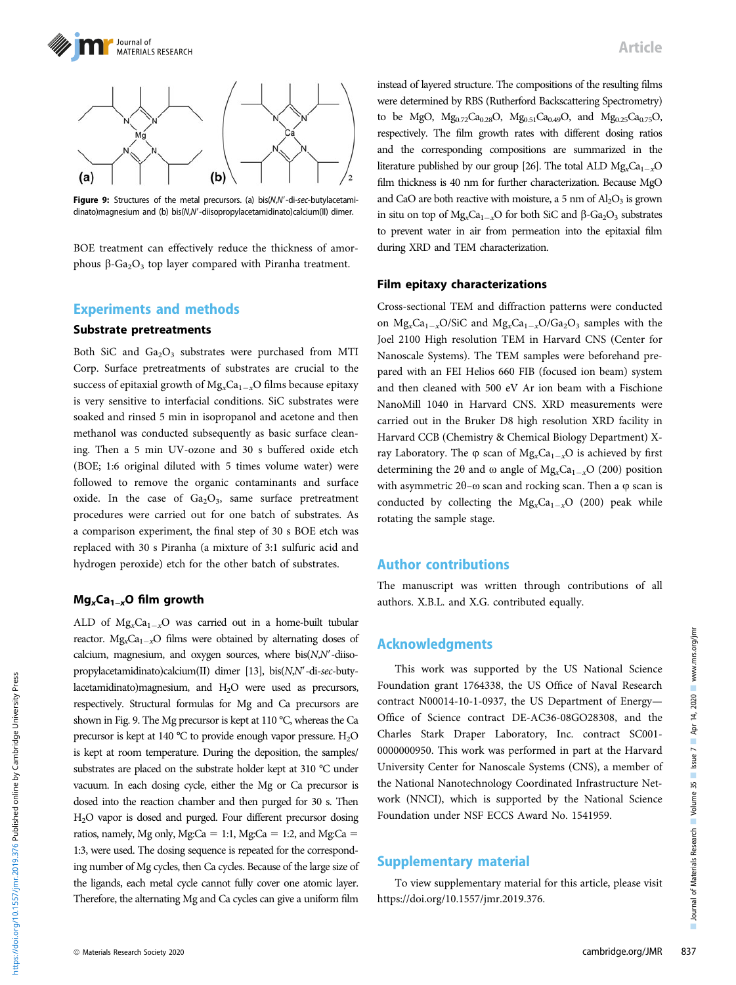



Figure 9: Structures of the metal precursors. (a) bis(N,N'-di-sec-butylacetamidinato)magnesium and (b) bis(N,N'-diisopropylacetamidinato)calcium(II) dimer.

BOE treatment can effectively reduce the thickness of amorphous  $\beta$ -Ga<sub>2</sub>O<sub>3</sub> top layer compared with Piranha treatment.

### Experiments and methods

# Substrate pretreatments

Both SiC and  $Ga<sub>2</sub>O<sub>3</sub>$  substrates were purchased from MTI Corp. Surface pretreatments of substrates are crucial to the success of epitaxial growth of  $Mg_xCa_{1-x}O$  films because epitaxy is very sensitive to interfacial conditions. SiC substrates were soaked and rinsed 5 min in isopropanol and acetone and then methanol was conducted subsequently as basic surface cleaning. Then a 5 min UV-ozone and 30 s buffered oxide etch (BOE; 1:6 original diluted with 5 times volume water) were followed to remove the organic contaminants and surface oxide. In the case of  $Ga<sub>2</sub>O<sub>3</sub>$ , same surface pretreatment procedures were carried out for one batch of substrates. As a comparison experiment, the final step of 30 s BOE etch was replaced with 30 s Piranha (a mixture of 3:1 sulfuric acid and hydrogen peroxide) etch for the other batch of substrates.

#### Mg<sub>x</sub>Ca<sub>1−x</sub>O film growth

ALD of  $Mg<sub>x</sub>Ca<sub>1-x</sub>O$  was carried out in a home-built tubular reactor.  $Mg_xCa_{1-x}O$  films were obtained by alternating doses of calcium, magnesium, and oxygen sources, where  $bis(N,N'-diiso$ propylacetamidinato)calcium(II) dimer [13], bis( $N$ , $N'$ -di-sec-butylacetamidinato)magnesium, and H<sub>2</sub>O were used as precursors, respectively. Structural formulas for Mg and Ca precursors are shown in Fig. 9. The Mg precursor is kept at 110 °C, whereas the Ca precursor is kept at 140 °C to provide enough vapor pressure.  $H_2O$ is kept at room temperature. During the deposition, the samples/ substrates are placed on the substrate holder kept at 310 °C under vacuum. In each dosing cycle, either the Mg or Ca precursor is dosed into the reaction chamber and then purged for 30 s. Then H2O vapor is dosed and purged. Four different precursor dosing ratios, namely, Mg only, Mg:Ca = 1:1, Mg:Ca = 1:2, and Mg:Ca = 1:3, were used. The dosing sequence is repeated for the corresponding number of Mg cycles, then Ca cycles. Because of the large size of the ligands, each metal cycle cannot fully cover one atomic layer. Therefore, the alternating Mg and Ca cycles can give a uniform film Article

instead of layered structure. The compositions of the resulting films were determined by RBS (Rutherford Backscattering Spectrometry) to be MgO,  $Mg_{0.72}Ca_{0.28}O$ ,  $Mg_{0.51}Ca_{0.49}O$ , and  $Mg_{0.25}Ca_{0.75}O$ , respectively. The film growth rates with different dosing ratios and the corresponding compositions are summarized in the literature published by our group [26]. The total ALD  $Mg_{x}Ca_{1-x}O$ film thickness is 40 nm for further characterization. Because MgO and CaO are both reactive with moisture, a 5 nm of  $Al_2O_3$  is grown in situ on top of  $Mg_xCa_{1-x}O$  for both SiC and  $\beta$ -Ga<sub>2</sub>O<sub>3</sub> substrates to prevent water in air from permeation into the epitaxial film during XRD and TEM characterization.

# $\mathbf{F}$  and  $\mathbf{F}$  are the characterizations of  $\mathbf{F}$

Cross-sectional TEM and diffraction patterns were conducted on  $Mg_xCa_{1-x}O/SiC$  and  $Mg_xCa_{1-x}O/Ga_2O_3$  samples with the Joel 2100 High resolution TEM in Harvard CNS (Center for Nanoscale Systems). The TEM samples were beforehand prepared with an FEI Helios 660 FIB (focused ion beam) system and then cleaned with 500 eV Ar ion beam with a Fischione NanoMill 1040 in Harvard CNS. XRD measurements were carried out in the Bruker D8 high resolution XRD facility in Harvard CCB (Chemistry & Chemical Biology Department) Xray Laboratory. The  $\varphi$  scan of  $Mg_xCa_{1-x}O$  is achieved by first determining the 2 $\theta$  and  $\omega$  angle of Mg<sub>x</sub>Ca<sub>1-x</sub>O (200) position with asymmetric  $2\theta$ - $\omega$  scan and rocking scan. Then a  $\varphi$  scan is conducted by collecting the  $Mg_xCa_{1-x}O$  (200) peak while rotating the sample stage.

### Author contributions

The manuscript was written through contributions of all authors. X.B.L. and X.G. contributed equally.

### Acknowledgments

This work was supported by the US National Science Foundation grant 1764338, the US Office of Naval Research contract N00014-10-1-0937, the US Department of Energy— Office of Science contract DE-AC36-08GO28308, and the Charles Stark Draper Laboratory, Inc. contract SC001- 0000000950. This work was performed in part at the Harvard University Center for Nanoscale Systems (CNS), a member of the National Nanotechnology Coordinated Infrastructure Network (NNCI), which is supported by the National Science Foundation under NSF ECCS Award No. 1541959.

### Supplementary material

To view supplementary material for this article, please visit <https://doi.org/10.1557/jmr.2019.376>.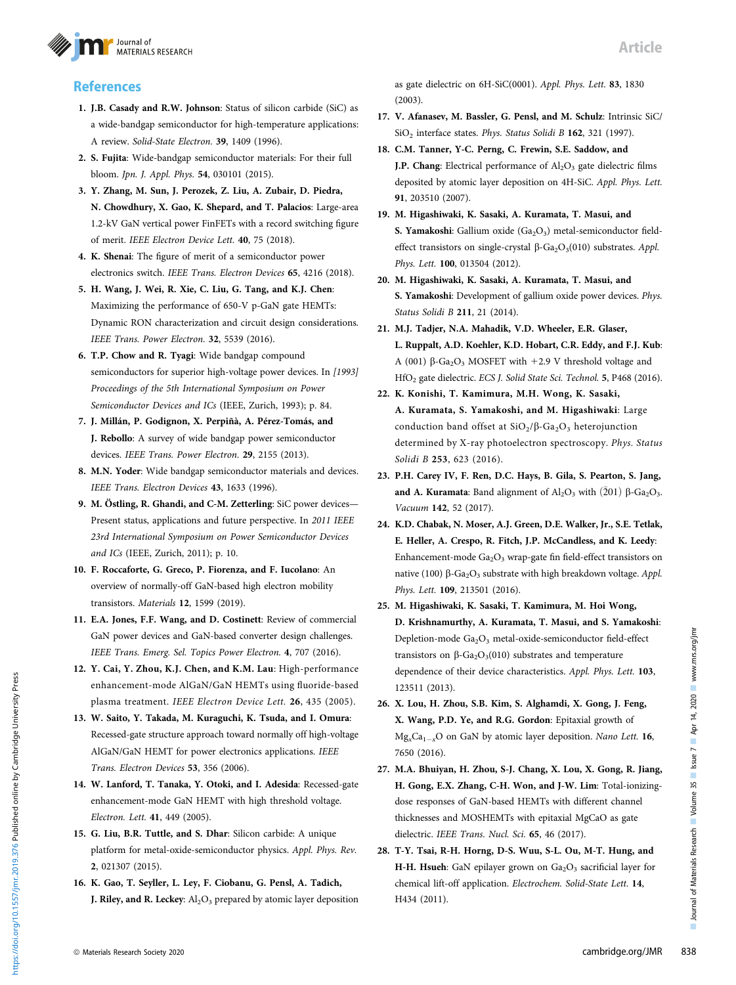

## **References**

- 1. J.B. Casady and R.W. Johnson: Status of silicon carbide (SiC) as a wide-bandgap semiconductor for high-temperature applications: A review. Solid-State Electron. 39, 1409 (1996).
- 2. S. Fujita: Wide-bandgap semiconductor materials: For their full bloom. Jpn. J. Appl. Phys. 54, 030101 (2015).
- 3. Y. Zhang, M. Sun, J. Perozek, Z. Liu, A. Zubair, D. Piedra, N. Chowdhury, X. Gao, K. Shepard, and T. Palacios: Large-area 1.2-kV GaN vertical power FinFETs with a record switching figure of merit. IEEE Electron Device Lett. 40, 75 (2018).
- 4. K. Shenai: The figure of merit of a semiconductor power electronics switch. IEEE Trans. Electron Devices 65, 4216 (2018).
- 5. H. Wang, J. Wei, R. Xie, C. Liu, G. Tang, and K.J. Chen: Maximizing the performance of 650-V p-GaN gate HEMTs: Dynamic RON characterization and circuit design considerations. IEEE Trans. Power Electron. 32, 5539 (2016).
- 6. T.P. Chow and R. Tyagi: Wide bandgap compound semiconductors for superior high-voltage power devices. In [1993] Proceedings of the 5th International Symposium on Power Semiconductor Devices and ICs (IEEE, Zurich, 1993); p. 84.
- 7. J. Millán, P. Godignon, X. Perpiñà, A. Pérez-Tomás, and J. Rebollo: A survey of wide bandgap power semiconductor devices. IEEE Trans. Power Electron. 29, 2155 (2013).
- 8. M.N. Yoder: Wide bandgap semiconductor materials and devices. IEEE Trans. Electron Devices 43, 1633 (1996).
- 9. M. Östling, R. Ghandi, and C-M. Zetterling: SiC power devices— Present status, applications and future perspective. In 2011 IEEE 23rd International Symposium on Power Semiconductor Devices and ICs (IEEE, Zurich, 2011); p. 10.
- 10. F. Roccaforte, G. Greco, P. Fiorenza, and F. Iucolano: An overview of normally-off GaN-based high electron mobility transistors. Materials 12, 1599 (2019).
- 11. E.A. Jones, F.F. Wang, and D. Costinett: Review of commercial GaN power devices and GaN-based converter design challenges. IEEE Trans. Emerg. Sel. Topics Power Electron. 4, 707 (2016).
- 12. Y. Cai, Y. Zhou, K.J. Chen, and K.M. Lau: High-performance enhancement-mode AlGaN/GaN HEMTs using fluoride-based plasma treatment. IEEE Electron Device Lett. 26, 435 (2005).
- 13. W. Saito, Y. Takada, M. Kuraguchi, K. Tsuda, and I. Omura: Recessed-gate structure approach toward normally off high-voltage AlGaN/GaN HEMT for power electronics applications. IEEE Trans. Electron Devices 53, 356 (2006).
- 14. W. Lanford, T. Tanaka, Y. Otoki, and I. Adesida: Recessed-gate enhancement-mode GaN HEMT with high threshold voltage. Electron. Lett. 41, 449 (2005).
- 15. G. Liu, B.R. Tuttle, and S. Dhar: Silicon carbide: A unique platform for metal-oxide-semiconductor physics. Appl. Phys. Rev. 2, 021307 (2015).
- 16. K. Gao, T. Seyller, L. Ley, F. Ciobanu, G. Pensl, A. Tadich, J. Riley, and R. Leckey:  $Al_2O_3$  prepared by atomic layer deposition

as gate dielectric on 6H-SiC(0001). Appl. Phys. Lett. 83, 1830 (2003).

Article

- 17. V. Afanasev, M. Bassler, G. Pensl, and M. Schulz: Intrinsic SiC/ SiO<sub>2</sub> interface states. Phys. Status Solidi B 162, 321 (1997).
- 18. C.M. Tanner, Y-C. Perng, C. Frewin, S.E. Saddow, and **J.P. Chang:** Electrical performance of  $Al_2O_3$  gate dielectric films deposited by atomic layer deposition on 4H-SiC. Appl. Phys. Lett. 91, 203510 (2007).
- 19. M. Higashiwaki, K. Sasaki, A. Kuramata, T. Masui, and S. Yamakoshi: Gallium oxide  $(Ga<sub>2</sub>O<sub>3</sub>)$  metal-semiconductor fieldeffect transistors on single-crystal  $\beta$ -Ga<sub>2</sub>O<sub>3</sub>(010) substrates. Appl. Phys. Lett. 100, 013504 (2012).
- 20. M. Higashiwaki, K. Sasaki, A. Kuramata, T. Masui, and S. Yamakoshi: Development of gallium oxide power devices. Phys. Status Solidi B 211, 21 (2014).
- 21. M.J. Tadjer, N.A. Mahadik, V.D. Wheeler, E.R. Glaser, L. Ruppalt, A.D. Koehler, K.D. Hobart, C.R. Eddy, and F.J. Kub: A (001)  $\beta$ -Ga<sub>2</sub>O<sub>3</sub> MOSFET with +2.9 V threshold voltage and HfO2 gate dielectric. ECS J. Solid State Sci. Technol. 5, P468 (2016).
- 22. K. Konishi, T. Kamimura, M.H. Wong, K. Sasaki, A. Kuramata, S. Yamakoshi, and M. Higashiwaki: Large conduction band offset at  $SiO_2/\beta$ -Ga<sub>2</sub>O<sub>3</sub> heterojunction determined by X-ray photoelectron spectroscopy. Phys. Status Solidi B 253, 623 (2016).
- 23. P.H. Carey IV, F. Ren, D.C. Hays, B. Gila, S. Pearton, S. Jang, and A. Kuramata: Band alignment of  $Al_2O_3$  with  $(\bar{2}01)$   $\beta$ -Ga<sub>2</sub>O<sub>3</sub>. Vacuum 142, 52 (2017).
- 24. K.D. Chabak, N. Moser, A.J. Green, D.E. Walker, Jr., S.E. Tetlak, E. Heller, A. Crespo, R. Fitch, J.P. McCandless, and K. Leedy: Enhancement-mode  $Ga<sub>2</sub>O<sub>3</sub>$  wrap-gate fin field-effect transistors on native (100)  $\beta$ -Ga<sub>2</sub>O<sub>3</sub> substrate with high breakdown voltage. Appl. Phys. Lett. 109, 213501 (2016).
- 25. M. Higashiwaki, K. Sasaki, T. Kamimura, M. Hoi Wong, D. Krishnamurthy, A. Kuramata, T. Masui, and S. Yamakoshi: Depletion-mode Ga<sub>2</sub>O<sub>3</sub> metal-oxide-semiconductor field-effect transistors on  $\beta$ -Ga<sub>2</sub>O<sub>3</sub>(010) substrates and temperature dependence of their device characteristics. Appl. Phys. Lett. 103, 123511 (2013).
- 26. X. Lou, H. Zhou, S.B. Kim, S. Alghamdi, X. Gong, J. Feng, X. Wang, P.D. Ye, and R.G. Gordon: Epitaxial growth of  $Mg_xCa_{1-x}O$  on GaN by atomic layer deposition. Nano Lett. 16, 7650 (2016).
- 27. M.A. Bhuiyan, H. Zhou, S-J. Chang, X. Lou, X. Gong, R. Jiang, H. Gong, E.X. Zhang, C-H. Won, and J-W. Lim: Total-ionizingdose responses of GaN-based HEMTs with different channel thicknesses and MOSHEMTs with epitaxial MgCaO as gate dielectric. IEEE Trans. Nucl. Sci. 65, 46 (2017).
- 28. T-Y. Tsai, R-H. Horng, D-S. Wuu, S-L. Ou, M-T. Hung, and H-H. Hsueh: GaN epilayer grown on Ga<sub>2</sub>O<sub>3</sub> sacrificial layer for chemical lift-off application. Electrochem. Solid-State Lett. 14, H434 (2011).

https://doi.org/10.1557/jmr.2019.376 Published online by Cambridge University Press